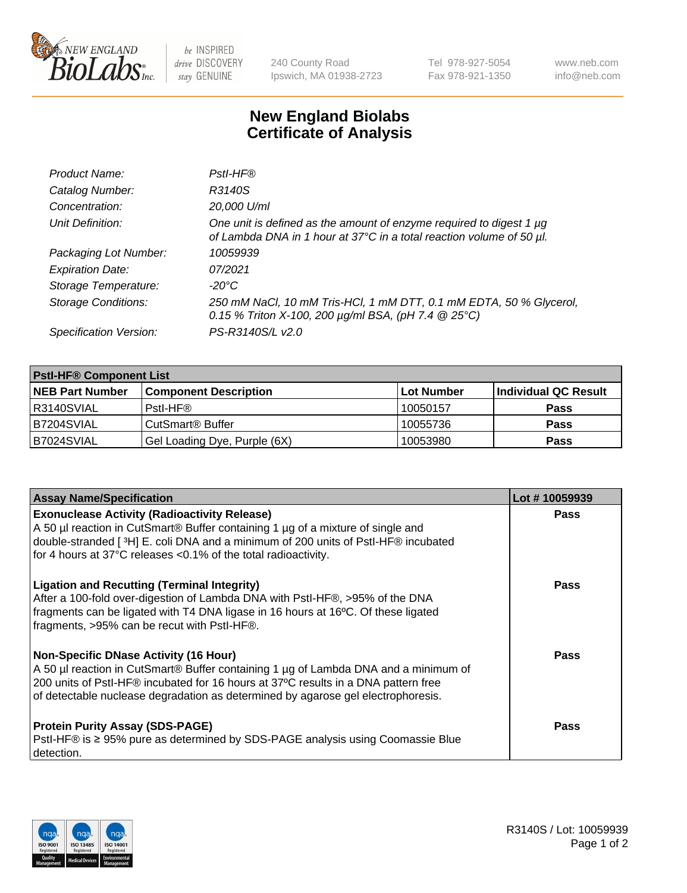

 $be$  INSPIRED drive DISCOVERY stay GENUINE

240 County Road Ipswich, MA 01938-2723 Tel 978-927-5054 Fax 978-921-1350 www.neb.com info@neb.com

## **New England Biolabs Certificate of Analysis**

| Product Name:              | Pstl-HF®                                                                                                                                             |
|----------------------------|------------------------------------------------------------------------------------------------------------------------------------------------------|
| Catalog Number:            | R3140S                                                                                                                                               |
| Concentration:             | 20,000 U/ml                                                                                                                                          |
| Unit Definition:           | One unit is defined as the amount of enzyme required to digest 1 µg<br>of Lambda DNA in 1 hour at 37°C in a total reaction volume of 50 µl.          |
| Packaging Lot Number:      | 10059939                                                                                                                                             |
| <b>Expiration Date:</b>    | 07/2021                                                                                                                                              |
| Storage Temperature:       | $-20^{\circ}$ C                                                                                                                                      |
| <b>Storage Conditions:</b> | 250 mM NaCl, 10 mM Tris-HCl, 1 mM DTT, 0.1 mM EDTA, 50 % Glycerol,<br>0.15 % Triton X-100, 200 $\mu$ g/ml BSA, (pH 7.4 $\textcircled{25}^{\circ}$ C) |
| Specification Version:     | PS-R3140S/L v2.0                                                                                                                                     |

| <b>PstI-HF® Component List</b> |                              |            |                      |  |
|--------------------------------|------------------------------|------------|----------------------|--|
| <b>NEB Part Number</b>         | <b>Component Description</b> | Lot Number | Individual QC Result |  |
| R3140SVIAL                     | Pstl-HF®                     | 10050157   | <b>Pass</b>          |  |
| IB7204SVIAL                    | CutSmart <sup>®</sup> Buffer | 10055736   | <b>Pass</b>          |  |
| B7024SVIAL                     | Gel Loading Dye, Purple (6X) | 10053980   | <b>Pass</b>          |  |

| <b>Assay Name/Specification</b>                                                                                                                                                                                                                                                                        | Lot #10059939 |
|--------------------------------------------------------------------------------------------------------------------------------------------------------------------------------------------------------------------------------------------------------------------------------------------------------|---------------|
| <b>Exonuclease Activity (Radioactivity Release)</b><br>A 50 µl reaction in CutSmart® Buffer containing 1 µg of a mixture of single and<br>double-stranded [3H] E. coli DNA and a minimum of 200 units of PstI-HF® incubated<br>for 4 hours at 37°C releases <0.1% of the total radioactivity.          | <b>Pass</b>   |
| <b>Ligation and Recutting (Terminal Integrity)</b><br>After a 100-fold over-digestion of Lambda DNA with PstI-HF®, >95% of the DNA<br>fragments can be ligated with T4 DNA ligase in 16 hours at 16°C. Of these ligated<br>fragments, >95% can be recut with PstI-HF®.                                 | Pass          |
| Non-Specific DNase Activity (16 Hour)<br>A 50 µl reaction in CutSmart® Buffer containing 1 µg of Lambda DNA and a minimum of<br>200 units of PstI-HF® incubated for 16 hours at 37°C results in a DNA pattern free<br>of detectable nuclease degradation as determined by agarose gel electrophoresis. | <b>Pass</b>   |
| <b>Protein Purity Assay (SDS-PAGE)</b><br>PstI-HF® is ≥ 95% pure as determined by SDS-PAGE analysis using Coomassie Blue<br>I detection.                                                                                                                                                               | <b>Pass</b>   |